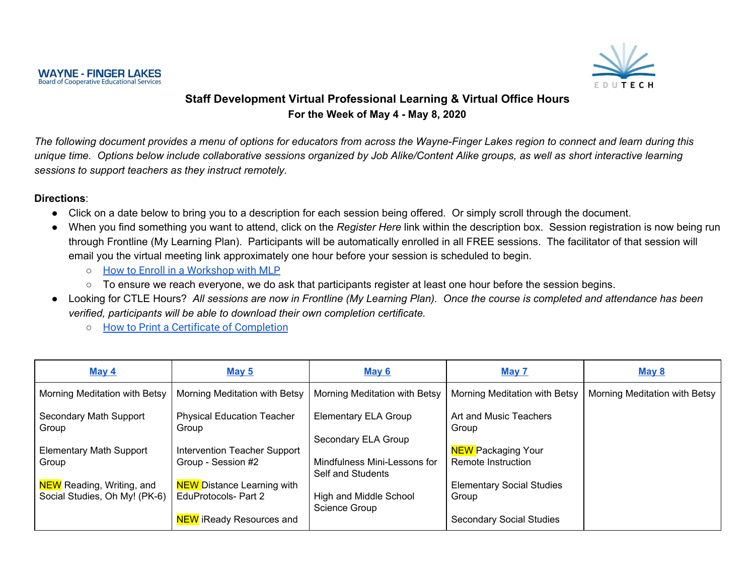

## **Staff Development Virtual Professional Learning & Virtual Office Hours For the Week of May 4 - May 8, 2020**

The following document provides a menu of options for educators from across the Wayne-Finger Lakes region to connect and learn during this unique time. Options below include collaborative sessions organized by Job Alike/Content Alike groups, as well as short interactive learning *sessions to support teachers as they instruct remotely.*

#### **Directions**:

- Click on a date below to bring you to a description for each session being offered. Or simply scroll through the document.
- When you find something you want to attend, click on the *Register Here* link within the description box. Session registration is now being run through Frontline (My Learning Plan). Participants will be automatically enrolled in all FREE sessions. The facilitator of that session will email you the virtual meeting link approximately one hour before your session is scheduled to begin.
	- How to Enroll in a [Workshop](https://resources.finalsite.net/images/v1587136205/wflbocesorg/kzgnvkqjljl0s2ogplnd/EndUsersRegisteringforanactivityinWebRegBOCES.pdf) with MLP
	- To ensure we reach everyone, we do ask that participants register at least one hour before the session begins.
- Looking for CTLE Hours? All sessions are now in Frontline (My Learning Plan). Once the course is completed and attendance has been *verified, participants will be able to download their own completion certificate.*
	- *○* How to Print a Certificate of [Completion](https://resources.finalsite.net/images/v1587136205/wflbocesorg/wjoxdc2uvha6z1ic4tsi/PrintyourcertificateMLP.pdf)

| May 4                            | May $5$                           | <b>May 6</b>                  | May 7                            | May 8                         |
|----------------------------------|-----------------------------------|-------------------------------|----------------------------------|-------------------------------|
| Morning Meditation with Betsy    | Morning Meditation with Betsy     | Morning Meditation with Betsy | Morning Meditation with Betsy    | Morning Meditation with Betsy |
| Secondary Math Support           | <b>Physical Education Teacher</b> | <b>Elementary ELA Group</b>   | Art and Music Teachers           |                               |
| Group                            | Group                             | Secondary ELA Group           | Group                            |                               |
| <b>Elementary Math Support</b>   | Intervention Teacher Support      | Mindfulness Mini-Lessons for  | <b>NEW Packaging Your</b>        |                               |
| Group                            | Group - Session #2                | Self and Students             | Remote Instruction               |                               |
| <b>NEW</b> Reading, Writing, and | <b>NEW</b> Distance Learning with | High and Middle School        | <b>Elementary Social Studies</b> |                               |
| Social Studies, Oh My! (PK-6)    | EduProtocols- Part 2              | <b>Science Group</b>          | Group                            |                               |
|                                  | <b>NEW</b> iReady Resources and   |                               | <b>Secondary Social Studies</b>  |                               |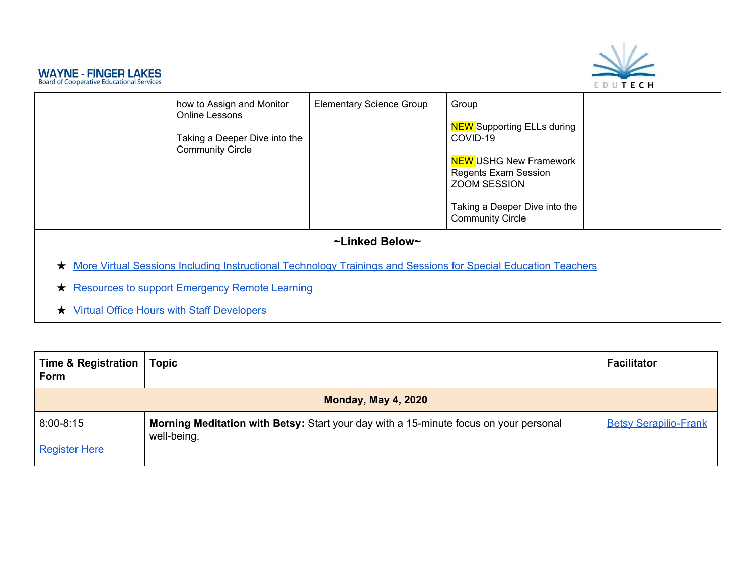

| how to Assign and Monitor<br>Online Lessons<br>Taking a Deeper Dive into the<br><b>Community Circle</b>                   | <b>Elementary Science Group</b> | Group<br><b>NEW</b> Supporting ELLs during<br>COVID-19<br><b>NEW USHG New Framework</b><br><b>Regents Exam Session</b><br>ZOOM SESSION<br>Taking a Deeper Dive into the<br><b>Community Circle</b> |  |
|---------------------------------------------------------------------------------------------------------------------------|---------------------------------|----------------------------------------------------------------------------------------------------------------------------------------------------------------------------------------------------|--|
|                                                                                                                           | ~Linked Below~                  |                                                                                                                                                                                                    |  |
| More Virtual Sessions Including Instructional Technology Trainings and Sessions for Special Education Teachers<br>$\star$ |                                 |                                                                                                                                                                                                    |  |
| <b>Resources to support Emergency Remote Learning</b><br>$\star$                                                          |                                 |                                                                                                                                                                                                    |  |
| <b>Virtual Office Hours with Staff Developers</b>                                                                         |                                 |                                                                                                                                                                                                    |  |

<span id="page-1-0"></span>

| <b>Time &amp; Registration</b><br><b>Form</b> | <b>Topic</b>                                                                                         | <b>Facilitator</b>           |
|-----------------------------------------------|------------------------------------------------------------------------------------------------------|------------------------------|
|                                               | <b>Monday, May 4, 2020</b>                                                                           |                              |
| $8:00 - 8:15$                                 | Morning Meditation with Betsy: Start your day with a 15-minute focus on your personal<br>well-being. | <b>Betsy Serapilio-Frank</b> |
| <b>Register Here</b>                          |                                                                                                      |                              |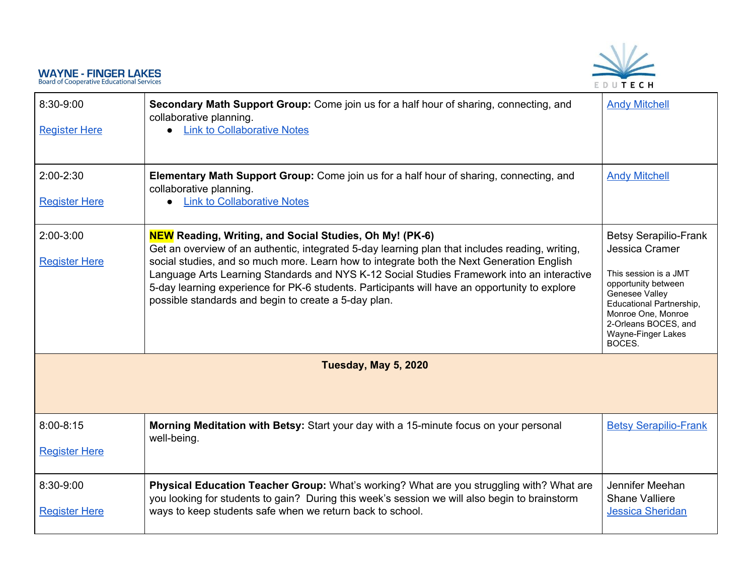

<span id="page-2-0"></span>

| 8:30-9:00<br><b>Register Here</b>     | Secondary Math Support Group: Come join us for a half hour of sharing, connecting, and<br>collaborative planning.<br><b>Link to Collaborative Notes</b>                                                                                                                                                                                                                                                                                                                                                               | <b>Andy Mitchell</b>                                                                                                                                                                                                       |
|---------------------------------------|-----------------------------------------------------------------------------------------------------------------------------------------------------------------------------------------------------------------------------------------------------------------------------------------------------------------------------------------------------------------------------------------------------------------------------------------------------------------------------------------------------------------------|----------------------------------------------------------------------------------------------------------------------------------------------------------------------------------------------------------------------------|
| $2:00 - 2:30$<br><b>Register Here</b> | Elementary Math Support Group: Come join us for a half hour of sharing, connecting, and<br>collaborative planning.<br><b>Link to Collaborative Notes</b>                                                                                                                                                                                                                                                                                                                                                              | <b>Andy Mitchell</b>                                                                                                                                                                                                       |
| $2:00-3:00$<br><b>Register Here</b>   | <b>NEW</b> Reading, Writing, and Social Studies, Oh My! (PK-6)<br>Get an overview of an authentic, integrated 5-day learning plan that includes reading, writing,<br>social studies, and so much more. Learn how to integrate both the Next Generation English<br>Language Arts Learning Standards and NYS K-12 Social Studies Framework into an interactive<br>5-day learning experience for PK-6 students. Participants will have an opportunity to explore<br>possible standards and begin to create a 5-day plan. | <b>Betsy Serapilio-Frank</b><br>Jessica Cramer<br>This session is a JMT<br>opportunity between<br>Genesee Valley<br>Educational Partnership,<br>Monroe One, Monroe<br>2-Orleans BOCES, and<br>Wayne-Finger Lakes<br>BOCES. |
|                                       | Tuesday, May 5, 2020                                                                                                                                                                                                                                                                                                                                                                                                                                                                                                  |                                                                                                                                                                                                                            |
| $8:00 - 8:15$<br><b>Register Here</b> | Morning Meditation with Betsy: Start your day with a 15-minute focus on your personal<br>well-being.                                                                                                                                                                                                                                                                                                                                                                                                                  | <b>Betsy Serapilio-Frank</b>                                                                                                                                                                                               |
| 8:30-9:00<br><b>Register Here</b>     | Physical Education Teacher Group: What's working? What are you struggling with? What are<br>you looking for students to gain? During this week's session we will also begin to brainstorm<br>ways to keep students safe when we return back to school.                                                                                                                                                                                                                                                                | Jennifer Meehan<br><b>Shane Valliere</b><br><b>Jessica Sheridan</b>                                                                                                                                                        |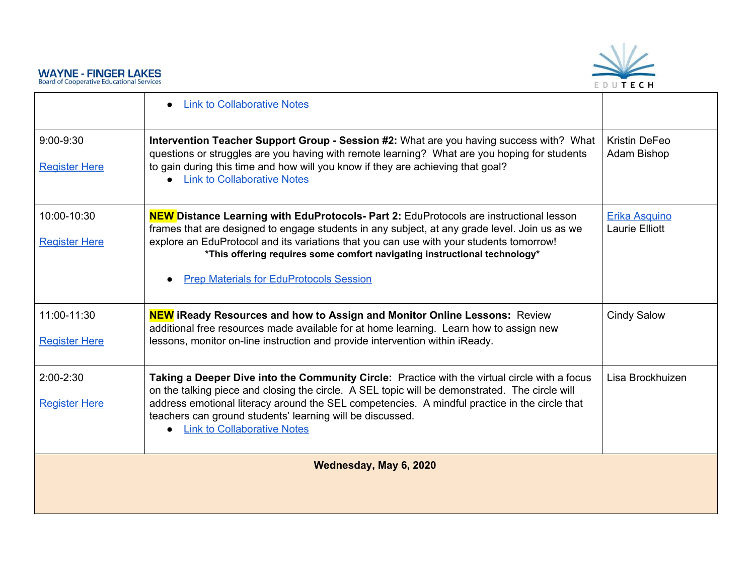

<span id="page-3-0"></span>

|                                       | <b>Link to Collaborative Notes</b>                                                                                                                                                                                                                                                                                                                                                                                       |                                               |
|---------------------------------------|--------------------------------------------------------------------------------------------------------------------------------------------------------------------------------------------------------------------------------------------------------------------------------------------------------------------------------------------------------------------------------------------------------------------------|-----------------------------------------------|
| $9:00 - 9:30$<br><b>Register Here</b> | Intervention Teacher Support Group - Session #2: What are you having success with? What<br>questions or struggles are you having with remote learning? What are you hoping for students<br>to gain during this time and how will you know if they are achieving that goal?<br><b>Link to Collaborative Notes</b>                                                                                                         | <b>Kristin DeFeo</b><br>Adam Bishop           |
| 10:00-10:30<br><b>Register Here</b>   | <b>NEW Distance Learning with EduProtocols- Part 2: EduProtocols are instructional lesson</b><br>frames that are designed to engage students in any subject, at any grade level. Join us as we<br>explore an EduProtocol and its variations that you can use with your students tomorrow!<br>*This offering requires some comfort navigating instructional technology*<br><b>Prep Materials for EduProtocols Session</b> | <b>Erika Asquino</b><br><b>Laurie Elliott</b> |
| 11:00-11:30<br><b>Register Here</b>   | <b>NEW</b> iReady Resources and how to Assign and Monitor Online Lessons: Review<br>additional free resources made available for at home learning. Learn how to assign new<br>lessons, monitor on-line instruction and provide intervention within iReady.                                                                                                                                                               | <b>Cindy Salow</b>                            |
| $2:00-2:30$<br><b>Register Here</b>   | Taking a Deeper Dive into the Community Circle: Practice with the virtual circle with a focus<br>on the talking piece and closing the circle. A SEL topic will be demonstrated. The circle will<br>address emotional literacy around the SEL competencies. A mindful practice in the circle that<br>teachers can ground students' learning will be discussed.<br><b>Link to Collaborative Notes</b>                      | Lisa Brockhuizen                              |
|                                       | Wednesday, May 6, 2020                                                                                                                                                                                                                                                                                                                                                                                                   |                                               |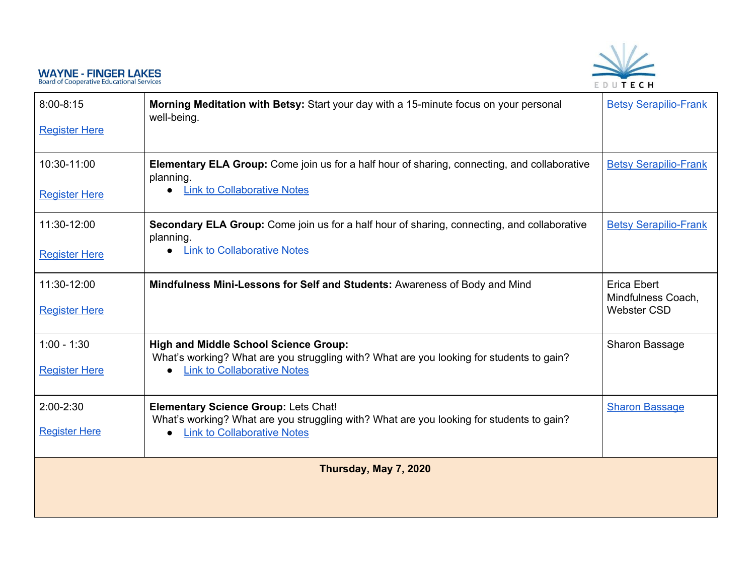

<span id="page-4-0"></span>

| $8:00 - 8:15$<br><b>Register Here</b> | Morning Meditation with Betsy: Start your day with a 15-minute focus on your personal<br>well-being.                                                                           | <b>Betsy Serapilio-Frank</b>                            |
|---------------------------------------|--------------------------------------------------------------------------------------------------------------------------------------------------------------------------------|---------------------------------------------------------|
| 10:30-11:00<br><b>Register Here</b>   | Elementary ELA Group: Come join us for a half hour of sharing, connecting, and collaborative<br>planning.<br>• Link to Collaborative Notes                                     | <b>Betsy Serapilio-Frank</b>                            |
| 11:30-12:00<br><b>Register Here</b>   | Secondary ELA Group: Come join us for a half hour of sharing, connecting, and collaborative<br>planning.<br><b>Link to Collaborative Notes</b>                                 | <b>Betsy Serapilio-Frank</b>                            |
| 11:30-12:00<br><b>Register Here</b>   | Mindfulness Mini-Lessons for Self and Students: Awareness of Body and Mind                                                                                                     | Erica Ebert<br>Mindfulness Coach,<br><b>Webster CSD</b> |
| $1:00 - 1:30$<br><b>Register Here</b> | <b>High and Middle School Science Group:</b><br>What's working? What are you struggling with? What are you looking for students to gain?<br><b>Link to Collaborative Notes</b> | Sharon Bassage                                          |
| 2:00-2:30<br><b>Register Here</b>     | <b>Elementary Science Group: Lets Chat!</b><br>What's working? What are you struggling with? What are you looking for students to gain?<br><b>Link to Collaborative Notes</b>  | <b>Sharon Bassage</b>                                   |
|                                       | Thursday, May 7, 2020                                                                                                                                                          |                                                         |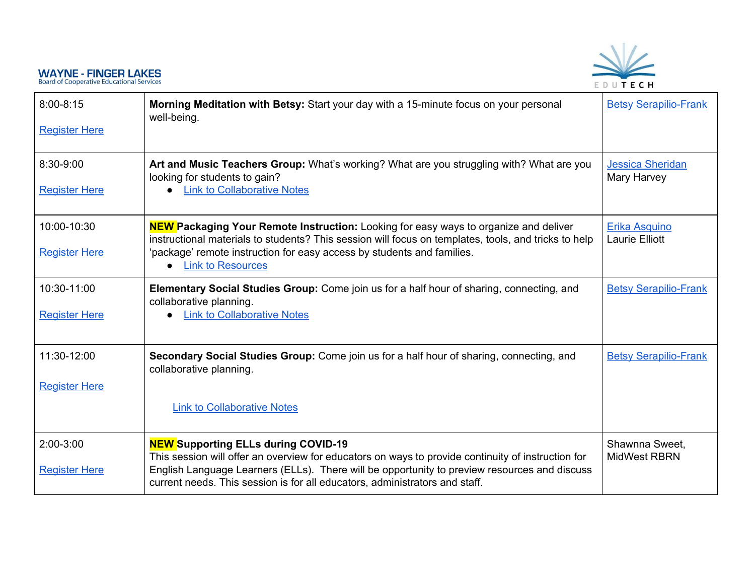

| $8:00 - 8:15$<br><b>Register Here</b> | Morning Meditation with Betsy: Start your day with a 15-minute focus on your personal<br>well-being.                                                                                                                                                                                                                            | <b>Betsy Serapilio-Frank</b>                  |
|---------------------------------------|---------------------------------------------------------------------------------------------------------------------------------------------------------------------------------------------------------------------------------------------------------------------------------------------------------------------------------|-----------------------------------------------|
| 8:30-9:00<br><b>Register Here</b>     | Art and Music Teachers Group: What's working? What are you struggling with? What are you<br>looking for students to gain?<br><b>Link to Collaborative Notes</b>                                                                                                                                                                 | <b>Jessica Sheridan</b><br>Mary Harvey        |
| 10:00-10:30<br><b>Register Here</b>   | <b>NEW</b> Packaging Your Remote Instruction: Looking for easy ways to organize and deliver<br>instructional materials to students? This session will focus on templates, tools, and tricks to help<br>'package' remote instruction for easy access by students and families.<br><b>Link to Resources</b>                       | <b>Erika Asquino</b><br><b>Laurie Elliott</b> |
| 10:30-11:00<br><b>Register Here</b>   | <b>Elementary Social Studies Group:</b> Come join us for a half hour of sharing, connecting, and<br>collaborative planning.<br>• Link to Collaborative Notes                                                                                                                                                                    | <b>Betsy Serapilio-Frank</b>                  |
| 11:30-12:00<br><b>Register Here</b>   | Secondary Social Studies Group: Come join us for a half hour of sharing, connecting, and<br>collaborative planning.<br><b>Link to Collaborative Notes</b>                                                                                                                                                                       | <b>Betsy Serapilio-Frank</b>                  |
| $2:00-3:00$<br><b>Register Here</b>   | <b>NEW Supporting ELLs during COVID-19</b><br>This session will offer an overview for educators on ways to provide continuity of instruction for<br>English Language Learners (ELLs). There will be opportunity to preview resources and discuss<br>current needs. This session is for all educators, administrators and staff. | Shawnna Sweet,<br><b>MidWest RBRN</b>         |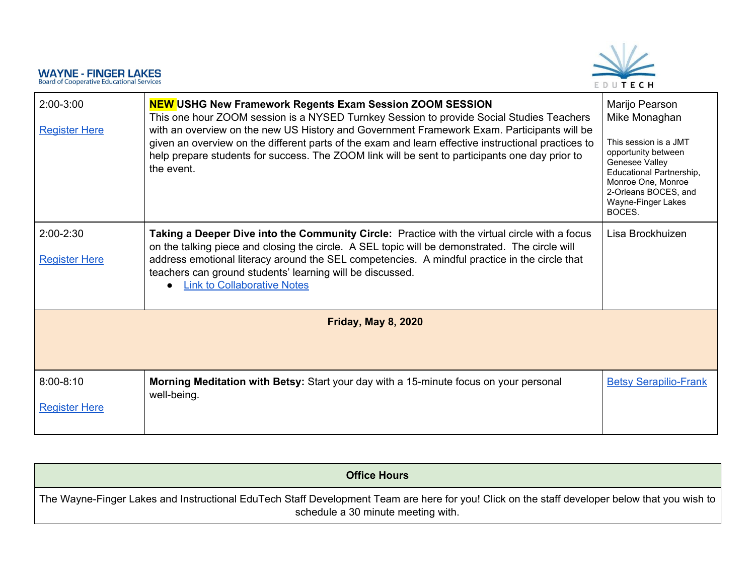

| 2:00-3:00<br><b>Register Here</b>     | <b>NEW USHG New Framework Regents Exam Session ZOOM SESSION</b><br>This one hour ZOOM session is a NYSED Turnkey Session to provide Social Studies Teachers<br>with an overview on the new US History and Government Framework Exam. Participants will be<br>given an overview on the different parts of the exam and learn effective instructional practices to<br>help prepare students for success. The ZOOM link will be sent to participants one day prior to<br>the event. | Marijo Pearson<br>Mike Monaghan<br>This session is a JMT<br>opportunity between<br>Genesee Valley<br>Educational Partnership,<br>Monroe One, Monroe<br>2-Orleans BOCES, and<br>Wayne-Finger Lakes<br>BOCES. |
|---------------------------------------|----------------------------------------------------------------------------------------------------------------------------------------------------------------------------------------------------------------------------------------------------------------------------------------------------------------------------------------------------------------------------------------------------------------------------------------------------------------------------------|-------------------------------------------------------------------------------------------------------------------------------------------------------------------------------------------------------------|
| $2:00-2:30$<br><b>Register Here</b>   | Taking a Deeper Dive into the Community Circle: Practice with the virtual circle with a focus<br>on the talking piece and closing the circle. A SEL topic will be demonstrated. The circle will<br>address emotional literacy around the SEL competencies. A mindful practice in the circle that<br>teachers can ground students' learning will be discussed.<br><b>Link to Collaborative Notes</b>                                                                              | Lisa Brockhuizen                                                                                                                                                                                            |
|                                       | <b>Friday, May 8, 2020</b>                                                                                                                                                                                                                                                                                                                                                                                                                                                       |                                                                                                                                                                                                             |
| $8:00 - 8:10$<br><b>Register Here</b> | Morning Meditation with Betsy: Start your day with a 15-minute focus on your personal<br>well-being.                                                                                                                                                                                                                                                                                                                                                                             | <b>Betsy Serapilio-Frank</b>                                                                                                                                                                                |

<span id="page-6-1"></span><span id="page-6-0"></span>

| <b>Office Hours</b>                                                                                                                                                                   |
|---------------------------------------------------------------------------------------------------------------------------------------------------------------------------------------|
| The Wayne-Finger Lakes and Instructional EduTech Staff Development Team are here for you! Click on the staff developer below that you wish to  <br>schedule a 30 minute meeting with. |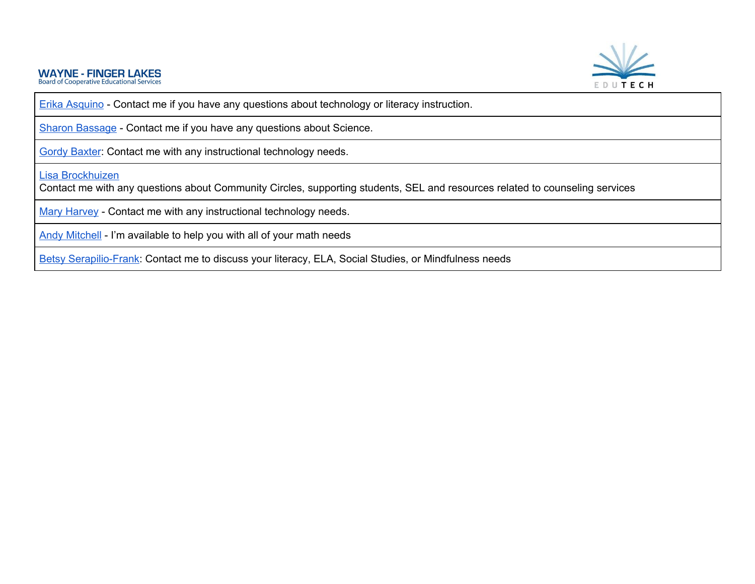

Erika [Asquino](https://calendly.com/erika-asquino/30min) - Contact me if you have any questions about technology or literacy instruction.

Sharon [Bassage](mailto:Sharon.Bassage@wflboces.org) - Contact me if you have any questions about Science.

Gordy [Baxter](https://calendly.com/gordon-baxter/30min): Contact me with any instructional technology needs.

Lisa [Brockhuizen](https://calendly.com/lisa-brockhuizen/connect-with-lisa)

Contact me with any questions about Community Circles, supporting students, SEL and resources related to counseling services

Mary [Harvey](https://calendly.com/mary-harveyedutechtraining/office-hours-with-mary-harvey-for-technology-support) - Contact me with any instructional technology needs.

Andy [Mitchell](https://calendly.com/andrew-david-mitchell/30min) - I'm available to help you with all of your math needs

Betsy [Serapilio-Frank](mailto:betsy.frank@wflboces.org): Contact me to discuss your literacy, ELA, Social Studies, or Mindfulness needs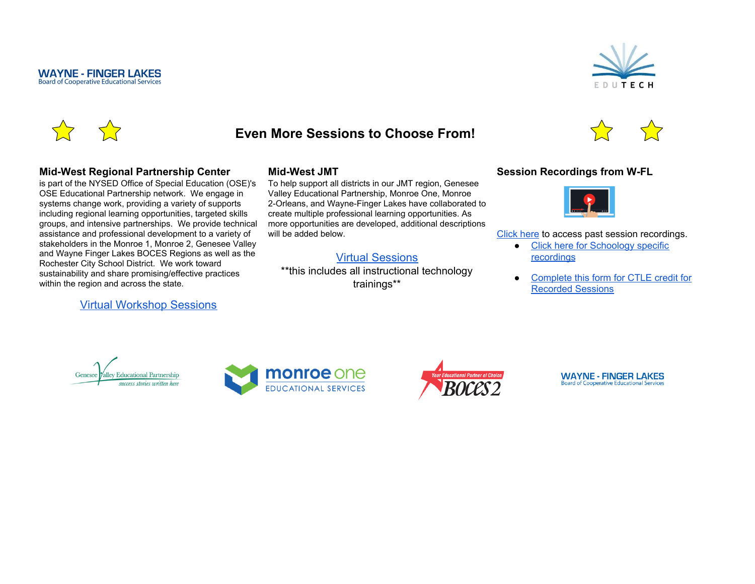

<span id="page-8-0"></span>

#### **Mid-West Regional Partnership Center**

is part of the NYSED Office of Special Education (OSE)'s OSE Educational Partnership network. We engage in systems change work, providing a variety of supports including regional learning opportunities, targeted skills groups, and intensive partnerships. We provide technical assistance and professional development to a variety of stakeholders in the Monroe 1, Monroe 2, Genesee Valley and Wayne Finger Lakes BOCES Regions as well as the Rochester City School District. We work toward sustainability and share promising/effective practices within the region and across the state.

#### [Virtual Workshop Sessions](https://www.smore.com/29tpv)

#### **Mid-West JMT**

To help support all districts in our JMT region, Genesee Valley Educational Partnership, Monroe One, Monroe 2-Orleans, and Wayne-Finger Lakes have collaborated to create multiple professional learning opportunities. As more opportunities are developed, additional descriptions will be added below.

### [Virtual Sessions](https://www.smore.com/56grw)

\*\*this includes all instructional technology trainings\*\*





[Click](https://ebn.edutech.org/Playlist/c5WSn3y9) here to access past session recordings.

- Click here for [Schoology](https://ebn.edutech.org/Playlist/x5F8KrHj) specific [recordings](https://ebn.edutech.org/Playlist/x5F8KrHj)
- [Complete](https://docs.google.com/forms/d/e/1FAIpQLSetAgjwAeh5SX2-1beP5wTZv6Pujsl6P5gDUaAzFyLX8HWGww/viewform?usp=sf_link) this form for CTLE credit for [Recorded](https://docs.google.com/forms/d/e/1FAIpQLSetAgjwAeh5SX2-1beP5wTZv6Pujsl6P5gDUaAzFyLX8HWGww/viewform?usp=sf_link) Sessions